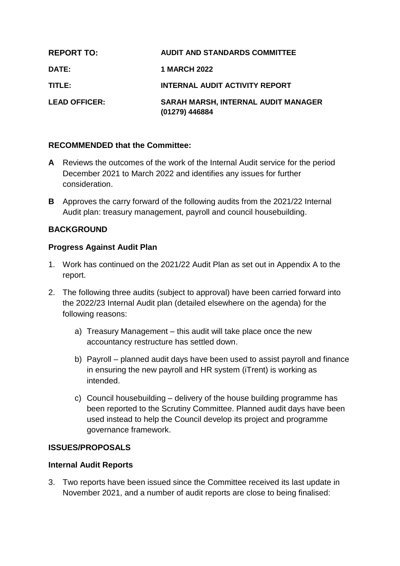| <b>REPORT TO:</b>    | <b>AUDIT AND STANDARDS COMMITTEE</b>                  |
|----------------------|-------------------------------------------------------|
| <b>DATE:</b>         | <b>1 MARCH 2022</b>                                   |
| TITLE:               | <b>INTERNAL AUDIT ACTIVITY REPORT</b>                 |
| <b>LEAD OFFICER:</b> | SARAH MARSH, INTERNAL AUDIT MANAGER<br>(01279) 446884 |

## **RECOMMENDED that the Committee:**

- **A** Reviews the outcomes of the work of the Internal Audit service for the period December 2021 to March 2022 and identifies any issues for further consideration.
- **B** Approves the carry forward of the following audits from the 2021/22 Internal Audit plan: treasury management, payroll and council housebuilding.

## **BACKGROUND**

## **Progress Against Audit Plan**

- 1. Work has continued on the 2021/22 Audit Plan as set out in Appendix A to the report.
- 2. The following three audits (subject to approval) have been carried forward into the 2022/23 Internal Audit plan (detailed elsewhere on the agenda) for the following reasons:
	- a) Treasury Management this audit will take place once the new accountancy restructure has settled down.
	- b) Payroll planned audit days have been used to assist payroll and finance in ensuring the new payroll and HR system (iTrent) is working as intended.
	- c) Council housebuilding delivery of the house building programme has been reported to the Scrutiny Committee. Planned audit days have been used instead to help the Council develop its project and programme governance framework.

### **ISSUES/PROPOSALS**

### **Internal Audit Reports**

3. Two reports have been issued since the Committee received its last update in November 2021, and a number of audit reports are close to being finalised: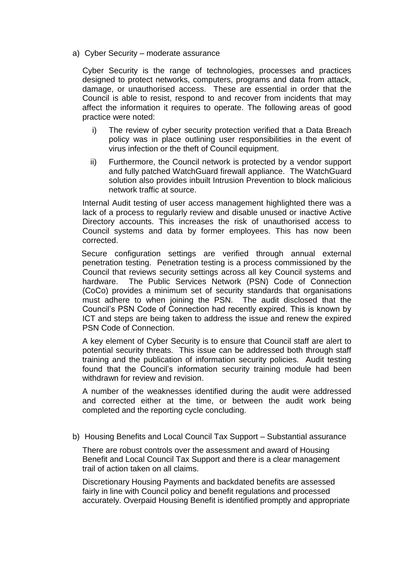a) Cyber Security – moderate assurance

Cyber Security is the range of technologies, processes and practices designed to protect networks, computers, programs and data from attack, damage, or unauthorised access. These are essential in order that the Council is able to resist, respond to and recover from incidents that may affect the information it requires to operate. The following areas of good practice were noted:

- i) The review of cyber security protection verified that a Data Breach policy was in place outlining user responsibilities in the event of virus infection or the theft of Council equipment.
- ii) Furthermore, the Council network is protected by a vendor support and fully patched WatchGuard firewall appliance. The WatchGuard solution also provides inbuilt Intrusion Prevention to block malicious network traffic at source.

Internal Audit testing of user access management highlighted there was a lack of a process to regularly review and disable unused or inactive Active Directory accounts. This increases the risk of unauthorised access to Council systems and data by former employees. This has now been corrected.

 Secure configuration settings are verified through annual external penetration testing. Penetration testing is a process commissioned by the Council that reviews security settings across all key Council systems and hardware. The Public Services Network (PSN) Code of Connection (CoCo) provides a minimum set of security standards that organisations must adhere to when joining the PSN. The audit disclosed that the Council's PSN Code of Connection had recently expired. This is known by ICT and steps are being taken to address the issue and renew the expired PSN Code of Connection.

A key element of Cyber Security is to ensure that Council staff are alert to potential security threats. This issue can be addressed both through staff training and the publication of information security policies. Audit testing found that the Council's information security training module had been withdrawn for review and revision.

A number of the weaknesses identified during the audit were addressed and corrected either at the time, or between the audit work being completed and the reporting cycle concluding.

b) Housing Benefits and Local Council Tax Support – Substantial assurance

There are robust controls over the assessment and award of Housing Benefit and Local Council Tax Support and there is a clear management trail of action taken on all claims.

Discretionary Housing Payments and backdated benefits are assessed fairly in line with Council policy and benefit regulations and processed accurately. Overpaid Housing Benefit is identified promptly and appropriate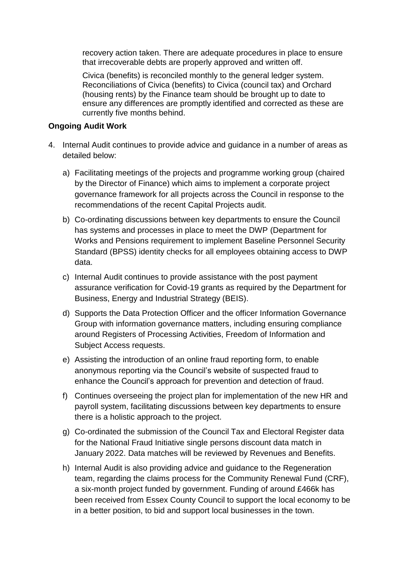recovery action taken. There are adequate procedures in place to ensure that irrecoverable debts are properly approved and written off.

Civica (benefits) is reconciled monthly to the general ledger system. Reconciliations of Civica (benefits) to Civica (council tax) and Orchard (housing rents) by the Finance team should be brought up to date to ensure any differences are promptly identified and corrected as these are currently five months behind.

## **Ongoing Audit Work**

- 4. Internal Audit continues to provide advice and guidance in a number of areas as detailed below:
	- a) Facilitating meetings of the projects and programme working group (chaired by the Director of Finance) which aims to implement a corporate project governance framework for all projects across the Council in response to the recommendations of the recent Capital Projects audit.
	- b) Co-ordinating discussions between key departments to ensure the Council has systems and processes in place to meet the DWP (Department for Works and Pensions requirement to implement Baseline Personnel Security Standard (BPSS) identity checks for all employees obtaining access to DWP data.
	- c) Internal Audit continues to provide assistance with the post payment assurance verification for Covid-19 grants as required by the Department for Business, Energy and Industrial Strategy (BEIS).
	- d) Supports the Data Protection Officer and the officer Information Governance Group with information governance matters, including ensuring compliance around Registers of Processing Activities, Freedom of Information and Subject Access requests.
	- e) Assisting the introduction of an online fraud reporting form, to enable anonymous reporting via the Council's website of suspected fraud to enhance the Council's approach for prevention and detection of fraud.
	- f) Continues overseeing the project plan for implementation of the new HR and payroll system, facilitating discussions between key departments to ensure there is a holistic approach to the project.
	- g) Co-ordinated the submission of the Council Tax and Electoral Register data for the National Fraud Initiative single persons discount data match in January 2022. Data matches will be reviewed by Revenues and Benefits.
	- h) Internal Audit is also providing advice and guidance to the Regeneration team, regarding the claims process for the Community Renewal Fund (CRF), a six-month project funded by government. Funding of around £466k has been received from Essex County Council to support the local economy to be in a better position, to bid and support local businesses in the town.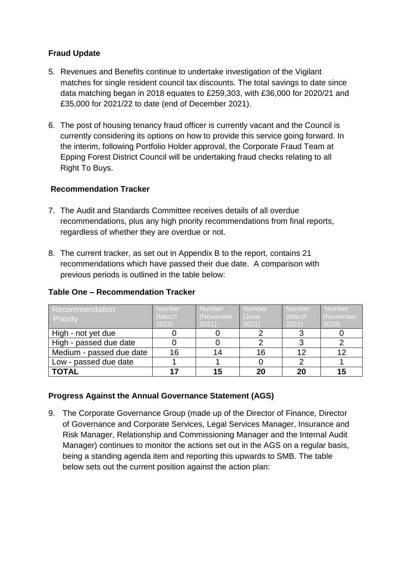# **Fraud Update**

- 5. Revenues and Benefits continue to undertake investigation of the Vigilant matches for single resident council tax discounts. The total savings to date since data matching began in 2018 equates to £259,303, with £36,000 for 2020/21 and £35,000 for 2021/22 to date (end of December 2021).
- 6. The post of housing tenancy fraud officer is currently vacant and the Council is currently considering its options on how to provide this service going forward. In the interim, following Portfolio Holder approval, the Corporate Fraud Team at Epping Forest District Council will be undertaking fraud checks relating to all Right To Buys.

# **Recommendation Tracker**

- 7. The Audit and Standards Committee receives details of all overdue recommendations, plus any high priority recommendations from final reports, regardless of whether they are overdue or not.
- 8. The current tracker, as set out in Appendix B to the report, contains 21 recommendations which have passed their due date. A comparison with previous periods is outlined in the table below:

| <b>Recommendation</b><br><b>Priority</b> | <b>Number</b><br>(March)<br>2022 | Number<br>November<br>2021) | <b>Number</b><br>(June<br>2021) | <b>Number</b><br>(March<br>2021) | <b>Number</b><br>(November<br>2020 |
|------------------------------------------|----------------------------------|-----------------------------|---------------------------------|----------------------------------|------------------------------------|
| High - not yet due                       |                                  |                             |                                 |                                  |                                    |
| High - passed due date                   |                                  |                             |                                 |                                  |                                    |
| Medium - passed due date                 | 16                               | 14                          | 16                              | 12                               | 12                                 |
| Low - passed due date                    |                                  |                             |                                 |                                  |                                    |
| <b>TOTAL</b>                             |                                  | 15                          | 20                              | 20                               | 15                                 |

## **Table One – Recommendation Tracker**

## **Progress Against the Annual Governance Statement (AGS)**

9. The Corporate Governance Group (made up of the Director of Finance, Director of Governance and Corporate Services, Legal Services Manager, Insurance and Risk Manager, Relationship and Commissioning Manager and the Internal Audit Manager) continues to monitor the actions set out in the AGS on a regular basis, being a standing agenda item and reporting this upwards to SMB. The table below sets out the current position against the action plan: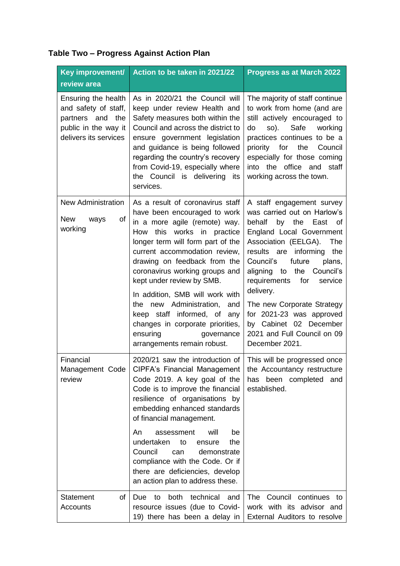| Table Two - Progress Against Action Plan |  |
|------------------------------------------|--|
|------------------------------------------|--|

| Key improvement/                                                                                                 | Action to be taken in 2021/22                                                                                                                                                                                                                                                                                                                                                                                                                                                                                  | <b>Progress as at March 2022</b>                                                                                                                                                                                                                                                                                                                                                                                                              |
|------------------------------------------------------------------------------------------------------------------|----------------------------------------------------------------------------------------------------------------------------------------------------------------------------------------------------------------------------------------------------------------------------------------------------------------------------------------------------------------------------------------------------------------------------------------------------------------------------------------------------------------|-----------------------------------------------------------------------------------------------------------------------------------------------------------------------------------------------------------------------------------------------------------------------------------------------------------------------------------------------------------------------------------------------------------------------------------------------|
| review area                                                                                                      |                                                                                                                                                                                                                                                                                                                                                                                                                                                                                                                |                                                                                                                                                                                                                                                                                                                                                                                                                                               |
| Ensuring the health<br>and safety of staff,<br>partners and the<br>public in the way it<br>delivers its services | As in 2020/21 the Council will<br>keep under review Health and<br>Safety measures both within the<br>Council and across the district to<br>ensure government legislation<br>and guidance is being followed<br>regarding the country's recovery<br>from Covid-19, especially where<br>the Council is delivering its<br>services.                                                                                                                                                                                | The majority of staff continue<br>to work from home (and are<br>still actively encouraged to<br>so). Safe<br>working<br>do<br>practices continues to be a<br>for<br>priority<br>the<br>Council<br>especially for those coming<br>into the office and staff<br>working across the town.                                                                                                                                                        |
| <b>New Administration</b><br><b>New</b><br>of<br>ways<br>working                                                 | As a result of coronavirus staff<br>have been encouraged to work<br>in a more agile (remote) way.<br>works in practice<br>How<br>this<br>longer term will form part of the<br>current accommodation review,<br>drawing on feedback from the<br>coronavirus working groups and<br>kept under review by SMB.<br>In addition, SMB will work with<br>new Administration,<br>the<br>and<br>keep staff informed, of any<br>changes in corporate priorities,<br>ensuring<br>governance<br>arrangements remain robust. | A staff engagement survey<br>was carried out on Harlow's<br>behalf<br>by the East<br>0f<br>England Local Government<br>Association (EELGA).<br>The<br>informing<br>results are<br>the<br>Council's<br>future<br>plans,<br>to<br>the Council's<br>aligning<br>requirements<br>for<br>service<br>delivery.<br>The new Corporate Strategy<br>for 2021-23 was approved<br>by Cabinet 02 December<br>2021 and Full Council on 09<br>December 2021. |
| Financial<br>Management Code<br>review                                                                           | 2020/21 saw the introduction of<br>CIPFA's Financial Management<br>Code 2019. A key goal of the<br>Code is to improve the financial<br>resilience of organisations by<br>embedding enhanced standards<br>of financial management.<br>will<br>An<br>assessment<br>be<br>undertaken<br>the<br>to<br>ensure<br>Council<br>demonstrate<br>can<br>compliance with the Code. Or if<br>there are deficiencies, develop<br>an action plan to address these.                                                            | This will be progressed once<br>the Accountancy restructure<br>has been completed and<br>established.                                                                                                                                                                                                                                                                                                                                         |
| <b>Statement</b><br>of<br>Accounts                                                                               | both<br>technical<br><b>Due</b><br>to<br>and<br>resource issues (due to Covid-<br>19) there has been a delay in                                                                                                                                                                                                                                                                                                                                                                                                | <b>The</b><br>Council continues to<br>work with its advisor and<br>External Auditors to resolve                                                                                                                                                                                                                                                                                                                                               |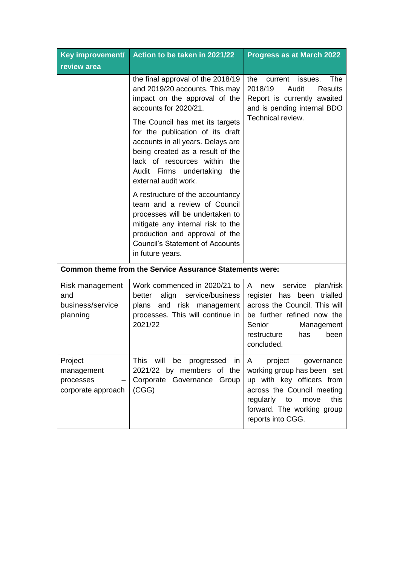| Key improvement/                                         | Action to be taken in 2021/22                                                                                                                                                                                                                                                                                                                                              | <b>Progress as at March 2022</b>                                                                                                                                                                          |  |
|----------------------------------------------------------|----------------------------------------------------------------------------------------------------------------------------------------------------------------------------------------------------------------------------------------------------------------------------------------------------------------------------------------------------------------------------|-----------------------------------------------------------------------------------------------------------------------------------------------------------------------------------------------------------|--|
| review area                                              |                                                                                                                                                                                                                                                                                                                                                                            |                                                                                                                                                                                                           |  |
|                                                          | the final approval of the 2018/19<br>and 2019/20 accounts. This may<br>impact on the approval of the<br>accounts for 2020/21.<br>The Council has met its targets<br>for the publication of its draft<br>accounts in all years. Delays are<br>being created as a result of the<br>lack of resources within<br>the<br>Audit Firms undertaking<br>the<br>external audit work. | current<br>The<br>the<br>issues.<br>2018/19<br>Audit<br><b>Results</b><br>Report is currently awaited<br>and is pending internal BDO<br>Technical review.                                                 |  |
|                                                          | A restructure of the accountancy<br>team and a review of Council<br>processes will be undertaken to<br>mitigate any internal risk to the<br>production and approval of the<br><b>Council's Statement of Accounts</b><br>in future years.                                                                                                                                   |                                                                                                                                                                                                           |  |
|                                                          | <b>Common theme from the Service Assurance Statements were:</b>                                                                                                                                                                                                                                                                                                            |                                                                                                                                                                                                           |  |
| Risk management<br>and<br>business/service<br>planning   | Work commenced in 2020/21 to<br>service/business<br>align<br>better<br>plans and risk management<br>processes. This will continue in<br>2021/22                                                                                                                                                                                                                            | plan/risk<br>service<br>A<br>new<br>register has been<br>trialled<br>across the Council. This will<br>be further refined now the<br>Senior<br>Management<br>restructure<br>has<br>been<br>concluded.      |  |
| Project<br>management<br>processes<br>corporate approach | will<br>This<br>be<br>progressed<br>in<br>2021/22 by members of the<br>Corporate Governance Group<br>(CGG)                                                                                                                                                                                                                                                                 | project<br>A<br>governance<br>working group has been set<br>up with key officers from<br>across the Council meeting<br>this<br>regularly<br>move<br>to<br>forward. The working group<br>reports into CGG. |  |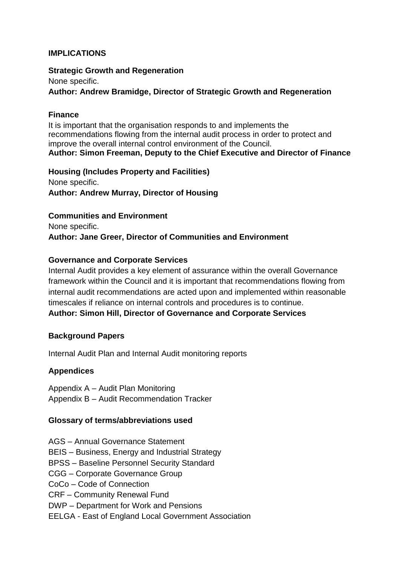## **IMPLICATIONS**

**Strategic Growth and Regeneration** None specific. **Author: Andrew Bramidge, Director of Strategic Growth and Regeneration**

### **Finance**

It is important that the organisation responds to and implements the recommendations flowing from the internal audit process in order to protect and improve the overall internal control environment of the Council. **Author: Simon Freeman, Deputy to the Chief Executive and Director of Finance**

**Housing (Includes Property and Facilities)** None specific. **Author: Andrew Murray, Director of Housing**

### **Communities and Environment**

None specific. **Author: Jane Greer, Director of Communities and Environment** 

### **Governance and Corporate Services**

Internal Audit provides a key element of assurance within the overall Governance framework within the Council and it is important that recommendations flowing from internal audit recommendations are acted upon and implemented within reasonable timescales if reliance on internal controls and procedures is to continue. **Author: Simon Hill, Director of Governance and Corporate Services**

### **Background Papers**

Internal Audit Plan and Internal Audit monitoring reports

### **Appendices**

Appendix A – Audit Plan Monitoring Appendix B – Audit Recommendation Tracker

### **Glossary of terms/abbreviations used**

- AGS Annual Governance Statement
- BEIS Business, Energy and Industrial Strategy
- BPSS Baseline Personnel Security Standard
- CGG Corporate Governance Group
- CoCo Code of Connection
- CRF Community Renewal Fund
- DWP Department for Work and Pensions
- EELGA East of England Local Government Association